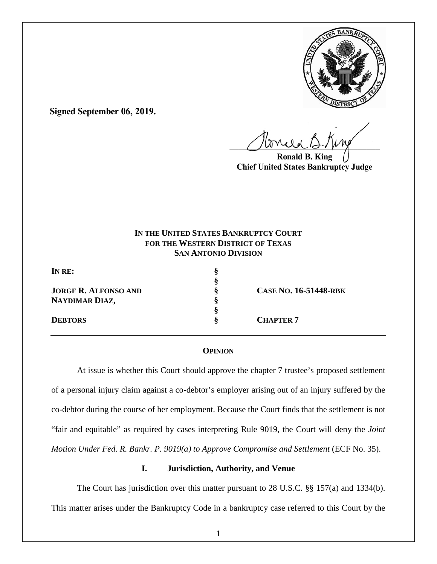

**Signed September 06, 2019.**

 $U^{WVWW}$ 

**Ronald B. King Chief United States Bankruptcy Judge**

# **IN THE UNITED STATES BANKRUPTCY COURT FOR THE WESTERN DISTRICT OF TEXAS SAN ANTONIO DIVISION**

**IN RE: §** 

**JORGE R. ALFONSO AND § CASE NO. 16-51448-RBK NAYDIMAR DIAZ, §** 

 **§ §** 

**DEBTORS** § **CHAPTER 7** 

## **OPINION**

At issue is whether this Court should approve the chapter 7 trustee's proposed settlement of a personal injury claim against a co-debtor's employer arising out of an injury suffered by the co-debtor during the course of her employment. Because the Court finds that the settlement is not "fair and equitable" as required by cases interpreting Rule 9019, the Court will deny the *Joint Motion Under Fed. R. Bankr. P. 9019(a) to Approve Compromise and Settlement (ECF No. 35).* 

## **I. Jurisdiction, Authority, and Venue**

The Court has jurisdiction over this matter pursuant to 28 U.S.C. §§ 157(a) and 1334(b). This matter arises under the Bankruptcy Code in a bankruptcy case referred to this Court by the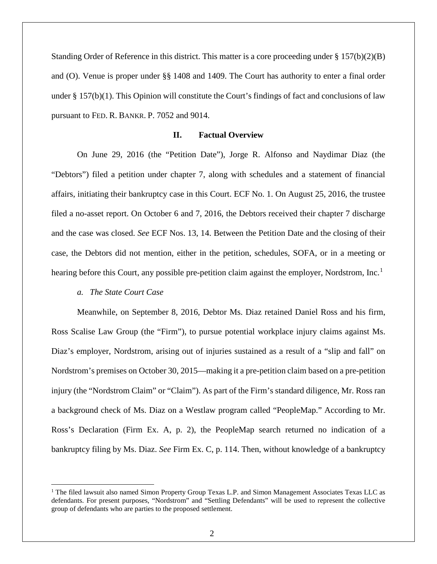Standing Order of Reference in this district. This matter is a core proceeding under § 157(b)(2)(B) and (O). Venue is proper under §§ 1408 and 1409. The Court has authority to enter a final order under  $\S 157(b)(1)$ . This Opinion will constitute the Court's findings of fact and conclusions of law pursuant to FED. R. BANKR. P. 7052 and 9014.

### **II. Factual Overview**

On June 29, 2016 (the "Petition Date"), Jorge R. Alfonso and Naydimar Diaz (the "Debtors") filed a petition under chapter 7, along with schedules and a statement of financial affairs, initiating their bankruptcy case in this Court. ECF No. 1. On August 25, 2016, the trustee filed a no-asset report. On October 6 and 7, 2016, the Debtors received their chapter 7 discharge and the case was closed. *See* ECF Nos. 13, 14. Between the Petition Date and the closing of their case, the Debtors did not mention, either in the petition, schedules, SOFA, or in a meeting or hearing before this Court, any possible pre-petition claim against the employer, Nordstrom, Inc.<sup>[1](#page-1-0)</sup>

#### *a. The State Court Case*

Meanwhile, on September 8, 2016, Debtor Ms. Diaz retained Daniel Ross and his firm, Ross Scalise Law Group (the "Firm"), to pursue potential workplace injury claims against Ms. Diaz's employer, Nordstrom, arising out of injuries sustained as a result of a "slip and fall" on Nordstrom's premises on October 30, 2015—making it a pre-petition claim based on a pre-petition injury (the "Nordstrom Claim" or "Claim"). As part of the Firm's standard diligence, Mr. Ross ran a background check of Ms. Diaz on a Westlaw program called "PeopleMap." According to Mr. Ross's Declaration (Firm Ex. A, p. 2), the PeopleMap search returned no indication of a bankruptcy filing by Ms. Diaz. *See* Firm Ex. C, p. 114. Then, without knowledge of a bankruptcy

<span id="page-1-0"></span><sup>&</sup>lt;sup>1</sup> The filed lawsuit also named Simon Property Group Texas L.P. and Simon Management Associates Texas LLC as defendants. For present purposes, "Nordstrom" and "Settling Defendants" will be used to represent the collective group of defendants who are parties to the proposed settlement.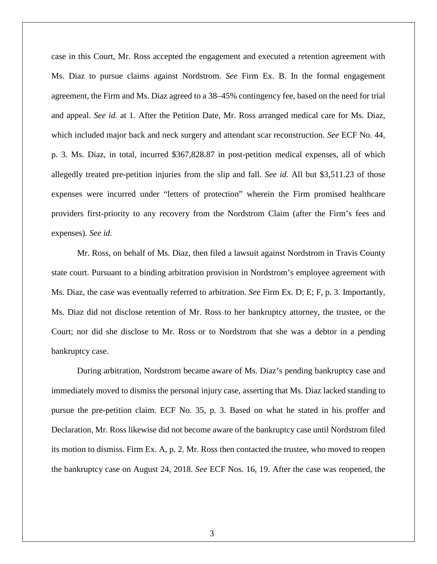case in this Court, Mr. Ross accepted the engagement and executed a retention agreement with Ms. Diaz to pursue claims against Nordstrom. *See* Firm Ex. B. In the formal engagement agreement, the Firm and Ms. Diaz agreed to a 38–45% contingency fee, based on the need for trial and appeal. *See id.* at 1. After the Petition Date, Mr. Ross arranged medical care for Ms. Diaz, which included major back and neck surgery and attendant scar reconstruction. *See* ECF No. 44, p. 3. Ms. Diaz, in total, incurred \$367,828.87 in post-petition medical expenses, all of which allegedly treated pre-petition injuries from the slip and fall. *See id.* All but \$3,511.23 of those expenses were incurred under "letters of protection" wherein the Firm promised healthcare providers first-priority to any recovery from the Nordstrom Claim (after the Firm's fees and expenses). *See id.* 

Mr. Ross, on behalf of Ms. Diaz, then filed a lawsuit against Nordstrom in Travis County state court. Pursuant to a binding arbitration provision in Nordstrom's employee agreement with Ms. Diaz, the case was eventually referred to arbitration. *See* Firm Ex. D; E; F, p. 3. Importantly, Ms. Diaz did not disclose retention of Mr. Ross to her bankruptcy attorney, the trustee, or the Court; nor did she disclose to Mr. Ross or to Nordstrom that she was a debtor in a pending bankruptcy case.

During arbitration, Nordstrom became aware of Ms. Diaz's pending bankruptcy case and immediately moved to dismiss the personal injury case, asserting that Ms. Diaz lacked standing to pursue the pre-petition claim. ECF No. 35, p. 3. Based on what he stated in his proffer and Declaration, Mr. Ross likewise did not become aware of the bankruptcy case until Nordstrom filed its motion to dismiss. Firm Ex. A, p. 2. Mr. Ross then contacted the trustee, who moved to reopen the bankruptcy case on August 24, 2018. *See* ECF Nos. 16, 19. After the case was reopened, the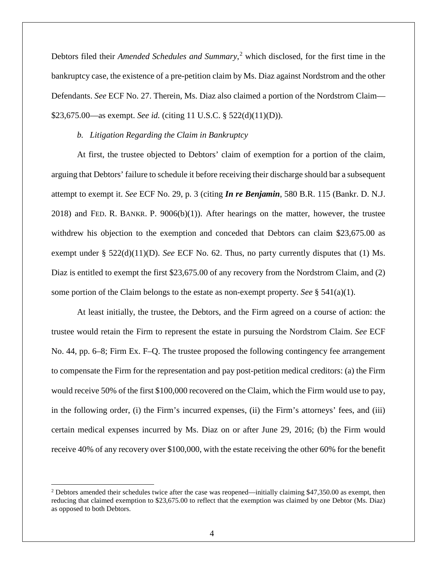Debtors filed their *Amended Schedules and Summary*, [2](#page-3-0) which disclosed, for the first time in the bankruptcy case, the existence of a pre-petition claim by Ms. Diaz against Nordstrom and the other Defendants. *See* ECF No. 27. Therein, Ms. Diaz also claimed a portion of the Nordstrom Claim— \$23,675.00—as exempt. *See id.* (citing 11 U.S.C. § 522(d)(11)(D)).

#### *b. Litigation Regarding the Claim in Bankruptcy*

At first, the trustee objected to Debtors' claim of exemption for a portion of the claim, arguing that Debtors' failure to schedule it before receiving their discharge should bar a subsequent attempt to exempt it. *See* ECF No. 29, p. 3 (citing *In re Benjamin*, 580 B.R. 115 (Bankr. D. N.J.  $2018$ ) and FED. R. BANKR. P.  $9006(b)(1)$ ). After hearings on the matter, however, the trustee withdrew his objection to the exemption and conceded that Debtors can claim \$23,675.00 as exempt under § 522(d)(11)(D). *See* ECF No. 62. Thus, no party currently disputes that (1) Ms. Diaz is entitled to exempt the first \$23,675.00 of any recovery from the Nordstrom Claim, and (2) some portion of the Claim belongs to the estate as non-exempt property. *See*  $\S$  541(a)(1).

At least initially, the trustee, the Debtors, and the Firm agreed on a course of action: the trustee would retain the Firm to represent the estate in pursuing the Nordstrom Claim. *See* ECF No. 44, pp. 6–8; Firm Ex. F–Q. The trustee proposed the following contingency fee arrangement to compensate the Firm for the representation and pay post-petition medical creditors: (a) the Firm would receive 50% of the first \$100,000 recovered on the Claim, which the Firm would use to pay, in the following order, (i) the Firm's incurred expenses, (ii) the Firm's attorneys' fees, and (iii) certain medical expenses incurred by Ms. Diaz on or after June 29, 2016; (b) the Firm would receive 40% of any recovery over \$100,000, with the estate receiving the other 60% for the benefit

<span id="page-3-0"></span> $2$  Debtors amended their schedules twice after the case was reopened—initially claiming \$47,350.00 as exempt, then reducing that claimed exemption to \$23,675.00 to reflect that the exemption was claimed by one Debtor (Ms. Diaz) as opposed to both Debtors.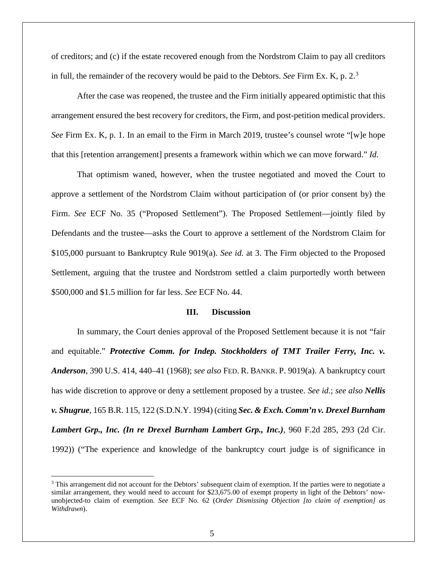of creditors; and (c) if the estate recovered enough from the Nordstrom Claim to pay all creditors in full, the remainder of the recovery would be paid to the Debtors. *See* Firm Ex. K, p. 2. [3](#page-4-0)

After the case was reopened, the trustee and the Firm initially appeared optimistic that this arrangement ensured the best recovery for creditors, the Firm, and post-petition medical providers. *See* Firm Ex. K, p. 1. In an email to the Firm in March 2019, trustee's counsel wrote "[w]e hope that this [retention arrangement] presents a framework within which we can move forward." *Id.* 

That optimism waned, however, when the trustee negotiated and moved the Court to approve a settlement of the Nordstrom Claim without participation of (or prior consent by) the Firm. *See* ECF No. 35 ("Proposed Settlement"). The Proposed Settlement—jointly filed by Defendants and the trustee—asks the Court to approve a settlement of the Nordstrom Claim for \$105,000 pursuant to Bankruptcy Rule 9019(a). *See id.* at 3. The Firm objected to the Proposed Settlement, arguing that the trustee and Nordstrom settled a claim purportedly worth between \$500,000 and \$1.5 million for far less. *See* ECF No. 44.

#### **III. Discussion**

In summary, the Court denies approval of the Proposed Settlement because it is not "fair and equitable." *Protective Comm. for Indep. Stockholders of TMT Trailer Ferry, Inc. v. Anderson*, [390 U.S. 414, 440–41 \(1968\);](https://1.next.westlaw.com/Link/Document/FullText?findType=Y&serNum=1968131159&pubNum=708&originatingDoc=Id7558e086e3311dfae66b23e804c3c12&refType=RP&originationContext=document&transitionType=DocumentItem&contextData=(sc.Keycite)) *see also* FED. R. BANKR. P. 9019(a). A bankruptcy court has wide discretion to approve or deny a settlement proposed by a trustee. *See id.*; *see also Nellis v. Shugrue*, 165 B.R. 115, 122 (S.D.N.Y. 1994) (citing *Sec. & Exch. Comm'n v. Drexel Burnham Lambert Grp., Inc. (In re Drexel Burnham Lambert Grp., Inc.)*, 960 F.2d 285, 293 (2d Cir. 1992)) ("The experience and knowledge of the bankruptcy court judge is of significance in

<span id="page-4-0"></span><sup>&</sup>lt;sup>3</sup> This arrangement did not account for the Debtors' subsequent claim of exemption. If the parties were to negotiate a similar arrangement, they would need to account for \$23,675.00 of exempt property in light of the Debtors' nowunobjected-to claim of exemption. *See* ECF No. 62 (*Order Dismissing Objection [to claim of exemption] as Withdrawn*).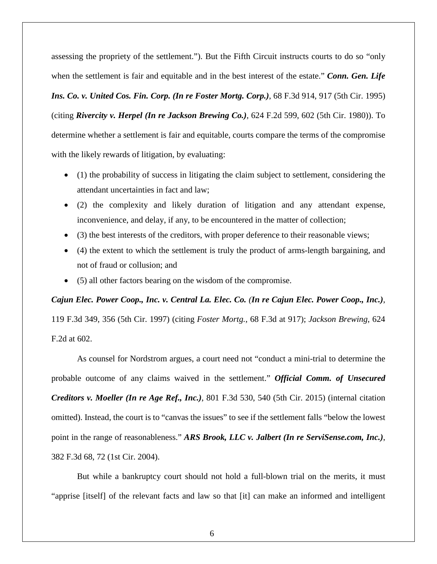assessing the propriety of the settlement."). But the Fifth Circuit instructs courts to do so "only when the settlement is fair and equitable and in the best interest of the estate." *Conn. Gen. Life Ins. Co. v. United Cos. Fin. Corp. (In re Foster Mortg. Corp.)*, 68 F.3d 914, 917 (5th Cir. 1995) (citing *Rivercity v. Herpel (In re Jackson Brewing Co.)*, 624 F.2d 599, 602 (5th Cir. 1980)). To determine whether a settlement is fair and equitable, courts compare the terms of the compromise with the likely rewards of litigation, by evaluating:

- (1) the probability of success in litigating the claim subject to settlement, considering the attendant uncertainties in fact and law;
- (2) the complexity and likely duration of litigation and any attendant expense, inconvenience, and delay, if any, to be encountered in the matter of collection;
- (3) the best interests of the creditors, with proper deference to their reasonable views;
- (4) the extent to which the settlement is truly the product of arms-length bargaining, and not of fraud or collusion; and
- (5) all other factors bearing on the wisdom of the compromise.

*Cajun Elec. Power Coop., Inc. v. Central La. Elec. Co. (In re Cajun Elec. Power Coop., Inc.)*, 119 F.3d 349, 356 (5th Cir. 1997) (citing *Foster Mortg.*, 68 F.3d at 917); *Jackson Brewing*, 624 F.2d at 602.

As counsel for Nordstrom argues, a court need not "conduct a mini-trial to determine the probable outcome of any claims waived in the settlement." *Official Comm. of Unsecured Creditors v. Moeller (In re Age Ref., Inc.)*, 801 F.3d 530, 540 (5th Cir. 2015) (internal citation omitted). Instead, the court is to "canvas the issues" to see if the settlement falls "below the lowest point in the range of reasonableness." *ARS Brook, LLC v. Jalbert (In re ServiSense.com, Inc.)*, 382 F.3d 68, 72 (1st Cir. 2004).

But while a bankruptcy court should not hold a full-blown trial on the merits, it must "apprise [itself] of the relevant facts and law so that [it] can make an informed and intelligent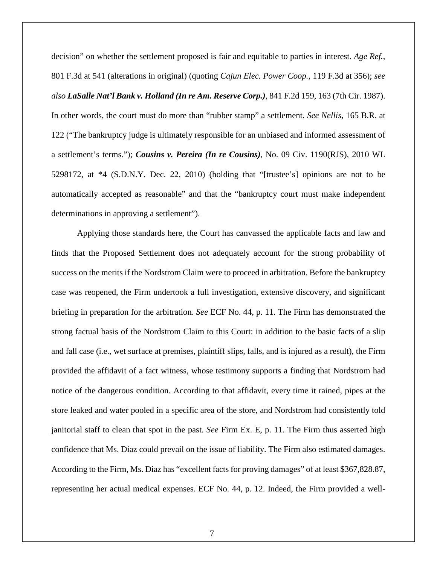decision" on whether the settlement proposed is fair and equitable to parties in interest. *Age Ref.*, 801 F.3d at 541 (alterations in original) (quoting *Cajun Elec. Power Coop.*, 119 F.3d at 356); *see also LaSalle Nat'l Bank v. Holland (In re Am. Reserve Corp.)*, 841 F.2d 159, 163 (7th Cir. 1987). In other words, the court must do more than "rubber stamp" a settlement. *See Nellis*, 165 B.R. at 122 ("The bankruptcy judge is ultimately responsible for an unbiased and informed assessment of a settlement's terms."); *Cousins v. Pereira (In re Cousins)*, No. 09 Civ. 1190(RJS), 2010 WL 5298172, at \*4 (S.D.N.Y. Dec. 22, 2010) (holding that "[trustee's] opinions are not to be automatically accepted as reasonable" and that the "bankruptcy court must make independent determinations in approving a settlement").

Applying those standards here, the Court has canvassed the applicable facts and law and finds that the Proposed Settlement does not adequately account for the strong probability of success on the merits if the Nordstrom Claim were to proceed in arbitration. Before the bankruptcy case was reopened, the Firm undertook a full investigation, extensive discovery, and significant briefing in preparation for the arbitration. *See* ECF No. 44, p. 11. The Firm has demonstrated the strong factual basis of the Nordstrom Claim to this Court: in addition to the basic facts of a slip and fall case (i.e., wet surface at premises, plaintiff slips, falls, and is injured as a result), the Firm provided the affidavit of a fact witness, whose testimony supports a finding that Nordstrom had notice of the dangerous condition. According to that affidavit, every time it rained, pipes at the store leaked and water pooled in a specific area of the store, and Nordstrom had consistently told janitorial staff to clean that spot in the past. *See* Firm Ex. E, p. 11. The Firm thus asserted high confidence that Ms. Diaz could prevail on the issue of liability. The Firm also estimated damages. According to the Firm, Ms. Diaz has "excellent facts for proving damages" of at least \$367,828.87, representing her actual medical expenses. ECF No. 44, p. 12. Indeed, the Firm provided a well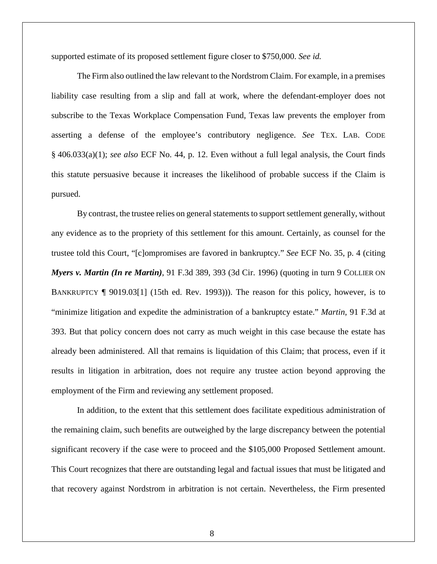supported estimate of its proposed settlement figure closer to \$750,000. *See id.*

The Firm also outlined the law relevant to the Nordstrom Claim. For example, in a premises liability case resulting from a slip and fall at work, where the defendant-employer does not subscribe to the Texas Workplace Compensation Fund, Texas law prevents the employer from asserting a defense of the employee's contributory negligence. *See* TEX. LAB. CODE § 406.033(a)(1); *see also* ECF No. 44, p. 12. Even without a full legal analysis, the Court finds this statute persuasive because it increases the likelihood of probable success if the Claim is pursued.

By contrast, the trustee relies on general statements to support settlement generally, without any evidence as to the propriety of this settlement for this amount. Certainly, as counsel for the trustee told this Court, "[c]ompromises are favored in bankruptcy." *See* ECF No. 35, p. 4 (citing *Myers v. Martin (In re Martin)*, 91 F.3d 389, 393 (3d Cir. 1996) (quoting in turn 9 COLLIER ON BANKRUPTCY ¶ 9019.03[1] (15th ed. Rev. 1993))). The reason for this policy, however, is to "minimize litigation and expedite the administration of a bankruptcy estate." *Martin*, 91 F.3d at 393. But that policy concern does not carry as much weight in this case because the estate has already been administered. All that remains is liquidation of this Claim; that process, even if it results in litigation in arbitration, does not require any trustee action beyond approving the employment of the Firm and reviewing any settlement proposed.

In addition, to the extent that this settlement does facilitate expeditious administration of the remaining claim, such benefits are outweighed by the large discrepancy between the potential significant recovery if the case were to proceed and the \$105,000 Proposed Settlement amount. This Court recognizes that there are outstanding legal and factual issues that must be litigated and that recovery against Nordstrom in arbitration is not certain. Nevertheless, the Firm presented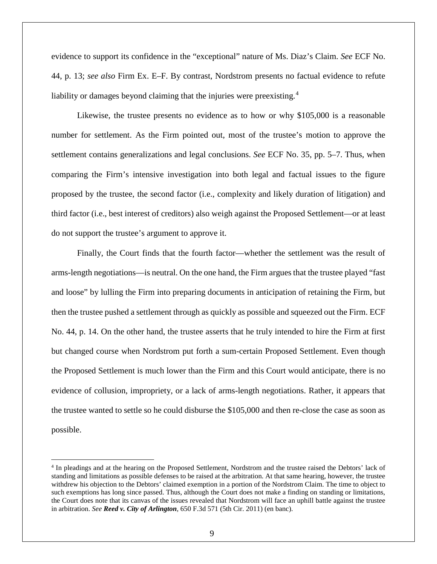evidence to support its confidence in the "exceptional" nature of Ms. Diaz's Claim. *See* ECF No. 44, p. 13; *see also* Firm Ex. E–F. By contrast, Nordstrom presents no factual evidence to refute liability or damages beyond claiming that the injuries were preexisting.<sup>[4](#page-8-0)</sup>

Likewise, the trustee presents no evidence as to how or why \$105,000 is a reasonable number for settlement. As the Firm pointed out, most of the trustee's motion to approve the settlement contains generalizations and legal conclusions. *See* ECF No. 35, pp. 5–7. Thus, when comparing the Firm's intensive investigation into both legal and factual issues to the figure proposed by the trustee, the second factor (i.e., complexity and likely duration of litigation) and third factor (i.e., best interest of creditors) also weigh against the Proposed Settlement—or at least do not support the trustee's argument to approve it.

Finally, the Court finds that the fourth factor—whether the settlement was the result of arms-length negotiations—is neutral. On the one hand, the Firm argues that the trustee played "fast and loose" by lulling the Firm into preparing documents in anticipation of retaining the Firm, but then the trustee pushed a settlement through as quickly as possible and squeezed out the Firm. ECF No. 44, p. 14. On the other hand, the trustee asserts that he truly intended to hire the Firm at first but changed course when Nordstrom put forth a sum-certain Proposed Settlement. Even though the Proposed Settlement is much lower than the Firm and this Court would anticipate, there is no evidence of collusion, impropriety, or a lack of arms-length negotiations. Rather, it appears that the trustee wanted to settle so he could disburse the \$105,000 and then re-close the case as soon as possible.

<span id="page-8-0"></span> <sup>4</sup> In pleadings and at the hearing on the Proposed Settlement, Nordstrom and the trustee raised the Debtors' lack of standing and limitations as possible defenses to be raised at the arbitration. At that same hearing, however, the trustee withdrew his objection to the Debtors' claimed exemption in a portion of the Nordstrom Claim. The time to object to such exemptions has long since passed. Thus, although the Court does not make a finding on standing or limitations, the Court does note that its canvas of the issues revealed that Nordstrom will face an uphill battle against the trustee in arbitration. *See Reed v. City of Arlington*, 650 F.3d 571 (5th Cir. 2011) (en banc).